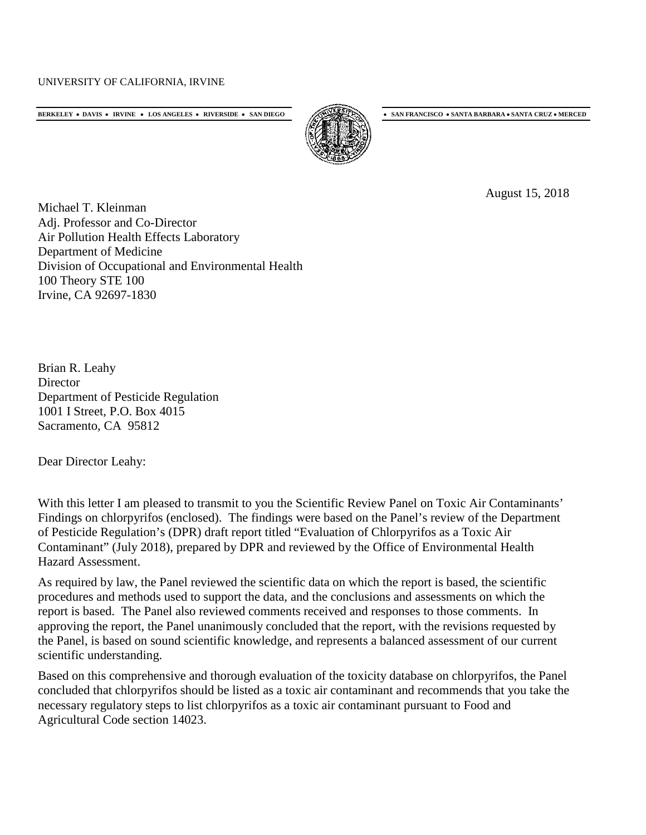## UNIVERSITY OF CALIFORNIA, IRVINE

**BERKELEY** • **DAVIS** • **IRVINE** • **LOS ANGELES** • **RIVERSIDE** • **SAN DIEGO** • **SAN FRANCISCO** • **SANTA BARBARA** • **SANTA CRUZ** • **MERCED**



August 15, 2018

Michael T. Kleinman Adj. Professor and Co-Director Air Pollution Health Effects Laboratory Department of Medicine Division of Occupational and Environmental Health 100 Theory STE 100 Irvine, CA 92697-1830

Brian R. Leahy **Director** Department of Pesticide Regulation 1001 I Street, P.O. Box 4015 Sacramento, CA 95812

Dear Director Leahy:

With this letter I am pleased to transmit to you the Scientific Review Panel on Toxic Air Contaminants' Findings on chlorpyrifos (enclosed). The findings were based on the Panel's review of the Department of Pesticide Regulation's (DPR) draft report titled "Evaluation of Chlorpyrifos as a Toxic Air Contaminant" (July 2018), prepared by DPR and reviewed by the Office of Environmental Health Hazard Assessment.

As required by law, the Panel reviewed the scientific data on which the report is based, the scientific procedures and methods used to support the data, and the conclusions and assessments on which the report is based. The Panel also reviewed comments received and responses to those comments. In approving the report, the Panel unanimously concluded that the report, with the revisions requested by the Panel, is based on sound scientific knowledge, and represents a balanced assessment of our current scientific understanding.

Based on this comprehensive and thorough evaluation of the toxicity database on chlorpyrifos, the Panel concluded that chlorpyrifos should be listed as a toxic air contaminant and recommends that you take the necessary regulatory steps to list chlorpyrifos as a toxic air contaminant pursuant to Food and Agricultural Code section 14023.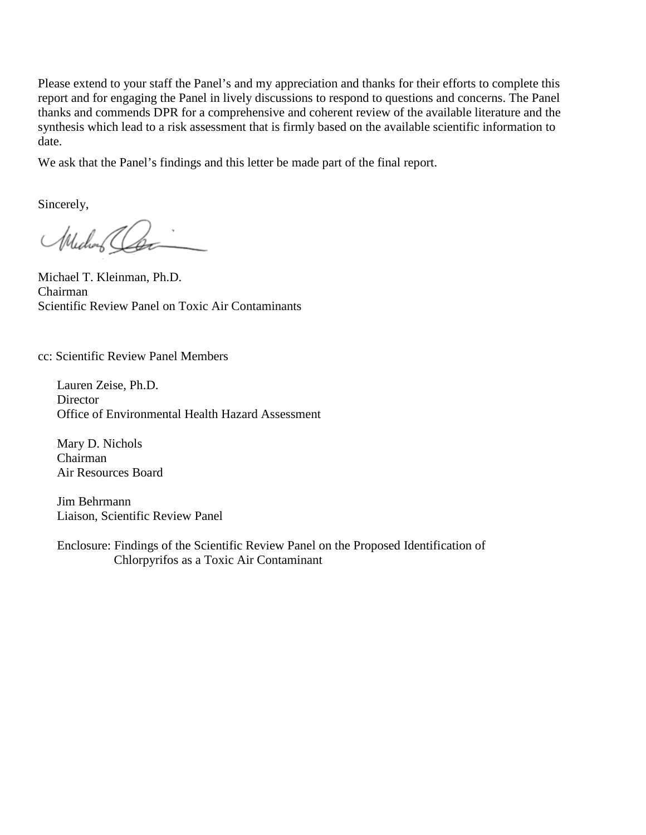Please extend to your staff the Panel's and my appreciation and thanks for their efforts to complete this report and for engaging the Panel in lively discussions to respond to questions and concerns. The Panel thanks and commends DPR for a comprehensive and coherent review of the available literature and the synthesis which lead to a risk assessment that is firmly based on the available scientific information to date.

We ask that the Panel's findings and this letter be made part of the final report.

Sincerely,

Michael Clean

Michael T. Kleinman, Ph.D. Chairman Scientific Review Panel on Toxic Air Contaminants

cc: Scientific Review Panel Members

Lauren Zeise, Ph.D. **Director** Office of Environmental Health Hazard Assessment

Mary D. Nichols Chairman Air Resources Board

Jim Behrmann Liaison, Scientific Review Panel

Enclosure: Findings of the Scientific Review Panel on the Proposed Identification of Chlorpyrifos as a Toxic Air Contaminant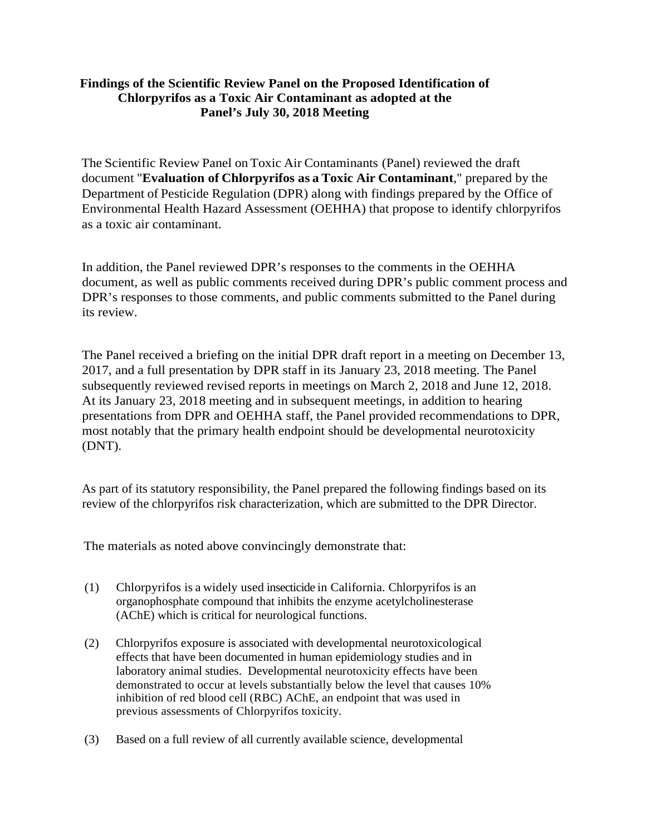## **Findings of the Scientific Review Panel on the Proposed Identification of Chlorpyrifos as a Toxic Air Contaminant as adopted at the Panel's July 30, 2018 Meeting**

The Scientific Review Panel on Toxic Air Contaminants (Panel) reviewed the draft document "**Evaluation of Chlorpyrifos as a Toxic Air Contaminant**," prepared by the Department of Pesticide Regulation (DPR) along with findings prepared by the Office of Environmental Health Hazard Assessment (OEHHA) that propose to identify chlorpyrifos as a toxic air contaminant.

In addition, the Panel reviewed DPR's responses to the comments in the OEHHA document, as well as public comments received during DPR's public comment process and DPR's responses to those comments, and public comments submitted to the Panel during its review.

The Panel received a briefing on the initial DPR draft report in a meeting on December 13, 2017, and a full presentation by DPR staff in its January 23, 2018 meeting. The Panel subsequently reviewed revised reports in meetings on March 2, 2018 and June 12, 2018. At its January 23, 2018 meeting and in subsequent meetings, in addition to hearing presentations from DPR and OEHHA staff, the Panel provided recommendations to DPR, most notably that the primary health endpoint should be developmental neurotoxicity (DNT).

As part of its statutory responsibility, the Panel prepared the following findings based on its review of the chlorpyrifos risk characterization, which are submitted to the DPR Director.

The materials as noted above convincingly demonstrate that:

- (1) Chlorpyrifos is a widely used insecticide in California. Chlorpyrifos is an organophosphate compound that inhibits the enzyme acetylcholinesterase (AChE) which is critical for neurological functions.
- (2) Chlorpyrifos exposure is associated with developmental neurotoxicological effects that have been documented in human epidemiology studies and in laboratory animal studies. Developmental neurotoxicity effects have been demonstrated to occur at levels substantially below the level that causes 10% inhibition of red blood cell (RBC) AChE, an endpoint that was used in previous assessments of Chlorpyrifos toxicity.
- (3) Based on a full review of all currently available science, developmental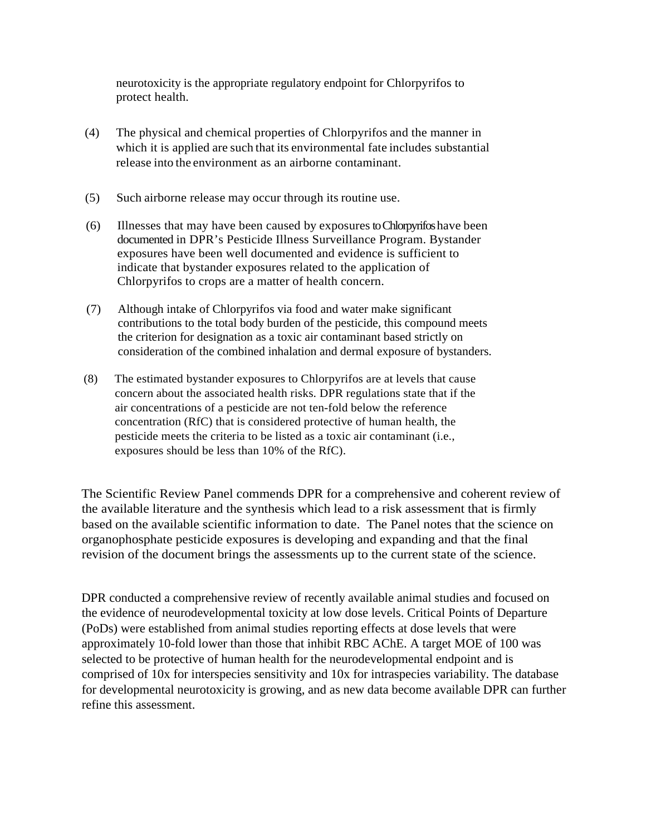neurotoxicity is the appropriate regulatory endpoint for Chlorpyrifos to protect health.

- (4) The physical and chemical properties of Chlorpyrifos and the manner in which it is applied are such that its environmental fate includes substantial release into the environment as an airborne contaminant.
- (5) Such airborne release may occur through its routine use.
- (6) Illnesses that may have been caused by exposures to Chlorpyrifos have been documented in DPR's Pesticide Illness Surveillance Program. Bystander exposures have been well documented and evidence is sufficient to indicate that bystander exposures related to the application of Chlorpyrifos to crops are a matter of health concern.
- (7) Although intake of Chlorpyrifos via food and water make significant contributions to the total body burden of the pesticide, this compound meets the criterion for designation as a toxic air contaminant based strictly on consideration of the combined inhalation and dermal exposure of bystanders.
- (8) The estimated bystander exposures to Chlorpyrifos are at levels that cause concern about the associated health risks. DPR regulations state that if the air concentrations of a pesticide are not ten-fold below the reference concentration (RfC) that is considered protective of human health, the pesticide meets the criteria to be listed as a toxic air contaminant (i.e., exposures should be less than 10% of the RfC).

The Scientific Review Panel commends DPR for a comprehensive and coherent review of the available literature and the synthesis which lead to a risk assessment that is firmly based on the available scientific information to date. The Panel notes that the science on organophosphate pesticide exposures is developing and expanding and that the final revision of the document brings the assessments up to the current state of the science.

DPR conducted a comprehensive review of recently available animal studies and focused on the evidence of neurodevelopmental toxicity at low dose levels. Critical Points of Departure (PoDs) were established from animal studies reporting effects at dose levels that were approximately 10-fold lower than those that inhibit RBC AChE. A target MOE of 100 was selected to be protective of human health for the neurodevelopmental endpoint and is comprised of 10x for interspecies sensitivity and 10x for intraspecies variability. The database for developmental neurotoxicity is growing, and as new data become available DPR can further refine this assessment.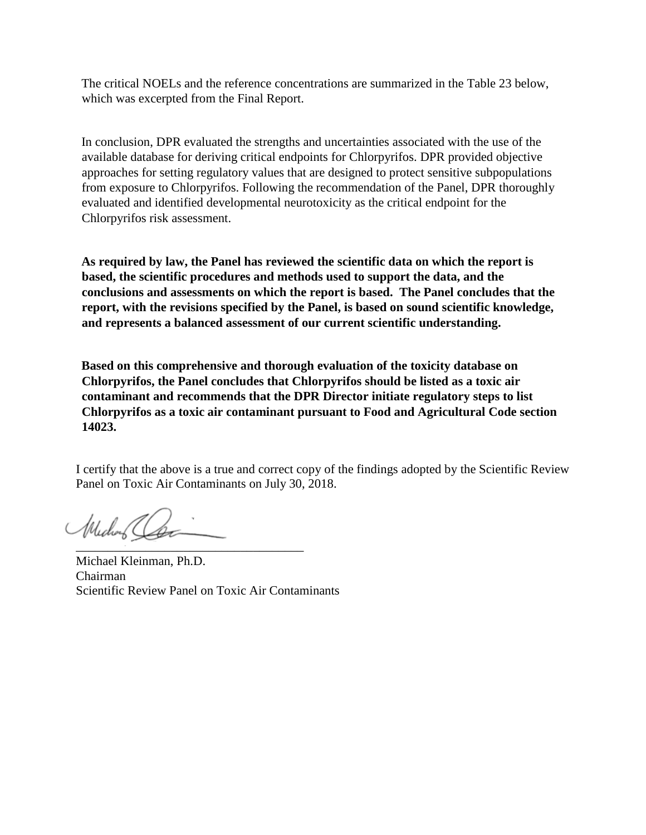The critical NOELs and the reference concentrations are summarized in the Table 23 below, which was excerpted from the Final Report.

In conclusion, DPR evaluated the strengths and uncertainties associated with the use of the available database for deriving critical endpoints for Chlorpyrifos. DPR provided objective approaches for setting regulatory values that are designed to protect sensitive subpopulations from exposure to Chlorpyrifos. Following the recommendation of the Panel, DPR thoroughly evaluated and identified developmental neurotoxicity as the critical endpoint for the Chlorpyrifos risk assessment.

**As required by law, the Panel has reviewed the scientific data on which the report is based, the scientific procedures and methods used to support the data, and the conclusions and assessments on which the report is based. The Panel concludes that the report, with the revisions specified by the Panel, is based on sound scientific knowledge, and represents a balanced assessment of our current scientific understanding.**

**Based on this comprehensive and thorough evaluation of the toxicity database on Chlorpyrifos, the Panel concludes that Chlorpyrifos should be listed as a toxic air contaminant and recommends that the DPR Director initiate regulatory steps to list Chlorpyrifos as a toxic air contaminant pursuant to Food and Agricultural Code section 14023.** 

I certify that the above is a true and correct copy of the findings adopted by the Scientific Review Panel on Toxic Air Contaminants on July 30, 2018.

\_\_\_\_\_\_\_\_\_\_\_\_\_\_\_\_\_\_\_\_\_\_\_\_\_\_\_\_\_\_\_\_\_\_\_\_ Michael

Michael Kleinman, Ph.D. Chairman Scientific Review Panel on Toxic Air Contaminants